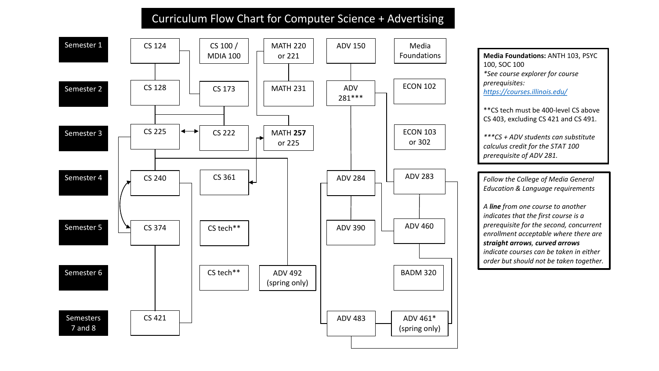## Curriculum Flow Chart for Computer Science + Advertising



**Media Foundations:** ANTH 103, PSYC 100, SOC 100 *\*See course explorer for course prerequisites: <https://courses.illinois.edu/>*

\*\*CS tech must be 400-level CS above CS 403, excluding CS 421 and CS 491.

*\*\*\*CS + ADV students can substitute calculus credit for the STAT 100 prerequisite of ADV 281.* 

*Follow the College of Media General Education & Language requirements* 

*A line from one course to another indicates that the first course is a prerequisite for the second, concurrent enrollment acceptable where there are straight arrows, curved arrows indicate courses can be taken in either order but should not be taken together.*